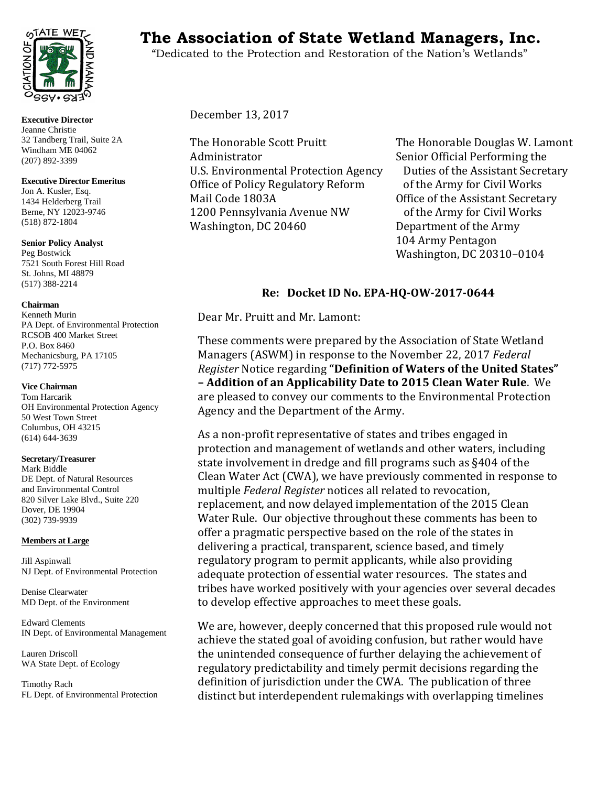

**Executive Director** Jeanne Christie 32 Tandberg Trail, Suite 2A Windham ME 04062 (207) 892-3399

#### **Executive Director Emeritus**

Jon A. Kusler, Esq. 1434 Helderberg Trail Berne, NY 12023-9746 (518) 872-1804

**Senior Policy Analyst** Peg Bostwick 7521 South Forest Hill Road St. Johns, MI 48879 (517) 388-2214

#### **Chairman**

Kenneth Murin PA Dept. of Environmental Protection RCSOB 400 Market Street P.O. Box 8460 Mechanicsburg, PA 17105 (717) 772-5975

#### **Vice Chairman**

Tom Harcarik OH Environmental Protection Agency 50 West Town Street Columbus, OH 43215 (614) 644-3639

## **Secretary/Treasurer**

Mark Biddle DE Dept. of Natural Resources and Environmental Control 820 Silver Lake Blvd., Suite 220 Dover, DE 19904 (302) 739-9939

## **Members at Large**

Jill Aspinwall NJ Dept. of Environmental Protection

Denise Clearwater MD Dept. of the Environment

Edward Clements IN Dept. of Environmental Management

Lauren Driscoll WA State Dept. of Ecology

Timothy Rach FL Dept. of Environmental Protection

# **THE WETCO THE Association of State Wetland Managers, Inc.**

"Dedicated to the Protection and Restoration of the Nation's Wetlands"

December 13, 2017

The Honorable Scott Pruitt<br>
Administrator
Senior Official Performing the U.S. Environmental Protection Agency Duties of the Assistant Secre<br>Office of Policy Regulatory Reform of the Army for Civil Works Office of Policy Regulatory Reform<br>Mail Code 1803A 1200 Pennsylvania Avenue NW<br>Washington, DC 20460

Senior Official Performing the<br>Duties of the Assistant Secretary Office of the Assistant Secretary<br>of the Army for Civil Works Department of the Army 104 Army Pentagon Washington, DC 20310–0104

# **Re: Docket ID No. EPA-HQ-OW-2017-0644**

Dear Mr. Pruitt and Mr. Lamont:

These comments were prepared by the Association of State Wetland Managers (ASWM) in response to the November 22, 2017 *Federal Register* Notice regarding **"Definition of Waters of the United States" – Addition of an Applicability Date to 2015 Clean Water Rule**. We are pleased to convey our comments to the Environmental Protection Agency and the Department of the Army.

As a non-profit representative of states and tribes engaged in protection and management of wetlands and other waters, including state involvement in dredge and fill programs such as §404 of the Clean Water Act (CWA), we have previously commented in response to multiple *Federal Register* notices all related to revocation, replacement, and now delayed implementation of the 2015 Clean Water Rule. Our objective throughout these comments has been to offer a pragmatic perspective based on the role of the states in delivering a practical, transparent, science based, and timely regulatory program to permit applicants, while also providing adequate protection of essential water resources. The states and tribes have worked positively with your agencies over several decades to develop effective approaches to meet these goals.

We are, however, deeply concerned that this proposed rule would not achieve the stated goal of avoiding confusion, but rather would have the unintended consequence of further delaying the achievement of regulatory predictability and timely permit decisions regarding the definition of jurisdiction under the CWA. The publication of three distinct but interdependent rulemakings with overlapping timelines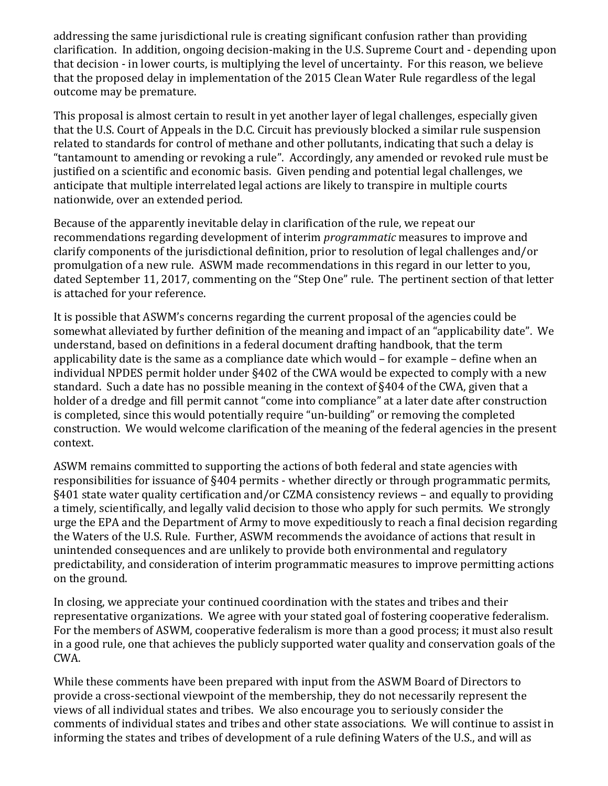addressing the same jurisdictional rule is creating significant confusion rather than providing clarification. In addition, ongoing decision-making in the U.S. Supreme Court and - depending upon that decision - in lower courts, is multiplying the level of uncertainty. For this reason, we believe that the proposed delay in implementation of the 2015 Clean Water Rule regardless of the legal outcome may be premature.

This proposal is almost certain to result in yet another layer of legal challenges, especially given that the U.S. Court of Appeals in the D.C. Circuit has previously blocked a similar rule suspension related to standards for control of methane and other pollutants, indicating that such a delay is "tantamount to amending or revoking a rule". Accordingly, any amended or revoked rule must be justified on a scientific and economic basis. Given pending and potential legal challenges, we anticipate that multiple interrelated legal actions are likely to transpire in multiple courts nationwide, over an extended period.

Because of the apparently inevitable delay in clarification of the rule, we repeat our recommendations regarding development of interim *programmatic* measures to improve and clarify components of the jurisdictional definition, prior to resolution of legal challenges and/or promulgation of a new rule. ASWM made recommendations in this regard in our letter to you, dated September 11, 2017, commenting on the "Step One" rule. The pertinent section of that letter is attached for your reference.

It is possible that ASWM's concerns regarding the current proposal of the agencies could be somewhat alleviated by further definition of the meaning and impact of an "applicability date". We understand, based on definitions in a federal document drafting handbook, that the term applicability date is the same as a compliance date which would – for example – define when an individual NPDES permit holder under §402 of the CWA would be expected to comply with a new standard. Such a date has no possible meaning in the context of §404 of the CWA, given that a holder of a dredge and fill permit cannot "come into compliance" at a later date after construction is completed, since this would potentially require "un-building" or removing the completed construction. We would welcome clarification of the meaning of the federal agencies in the present context.

ASWM remains committed to supporting the actions of both federal and state agencies with responsibilities for issuance of §404 permits - whether directly or through programmatic permits, §401 state water quality certification and/or CZMA consistency reviews – and equally to providing a timely, scientifically, and legally valid decision to those who apply for such permits. We strongly urge the EPA and the Department of Army to move expeditiously to reach a final decision regarding the Waters of the U.S. Rule. Further, ASWM recommends the avoidance of actions that result in unintended consequences and are unlikely to provide both environmental and regulatory predictability, and consideration of interim programmatic measures to improve permitting actions on the ground.

In closing, we appreciate your continued coordination with the states and tribes and their representative organizations. We agree with your stated goal of fostering cooperative federalism. For the members of ASWM, cooperative federalism is more than a good process; it must also result in a good rule, one that achieves the publicly supported water quality and conservation goals of the CWA.

While these comments have been prepared with input from the ASWM Board of Directors to provide a cross-sectional viewpoint of the membership, they do not necessarily represent the views of all individual states and tribes. We also encourage you to seriously consider the comments of individual states and tribes and other state associations. We will continue to assist in informing the states and tribes of development of a rule defining Waters of the U.S., and will as